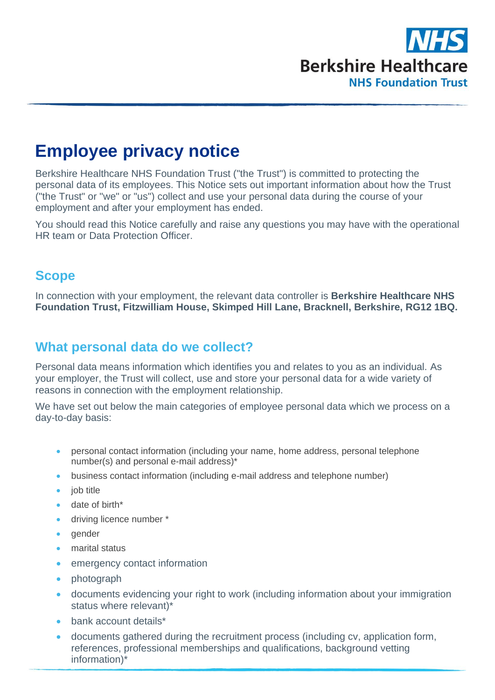

# **Employee privacy notice**

Berkshire Healthcare NHS Foundation Trust ("the Trust") is committed to protecting the personal data of its employees. This Notice sets out important information about how the Trust ("the Trust" or "we" or "us") collect and use your personal data during the course of your employment and after your employment has ended.

You should read this Notice carefully and raise any questions you may have with the operational HR team or Data Protection Officer.

### **Scope**

In connection with your employment, the relevant data controller is **Berkshire Healthcare NHS Foundation Trust, Fitzwilliam House, Skimped Hill Lane, Bracknell, Berkshire, RG12 1BQ.**

### **What personal data do we collect?**

Personal data means information which identifies you and relates to you as an individual. As your employer, the Trust will collect, use and store your personal data for a wide variety of reasons in connection with the employment relationship.

We have set out below the main categories of employee personal data which we process on a day-to-day basis:

- personal contact information (including your name, home address, personal telephone number(s) and personal e-mail address)\*
- business contact information (including e-mail address and telephone number)
- iob title
- date of birth\*
- driving licence number \*
- gender
- marital status
- emergency contact information
- photograph
- documents evidencing your right to work (including information about your immigration status where relevant)\*
- bank account details\*
- documents gathered during the recruitment process (including cv, application form, references, professional memberships and qualifications, background vetting information)\*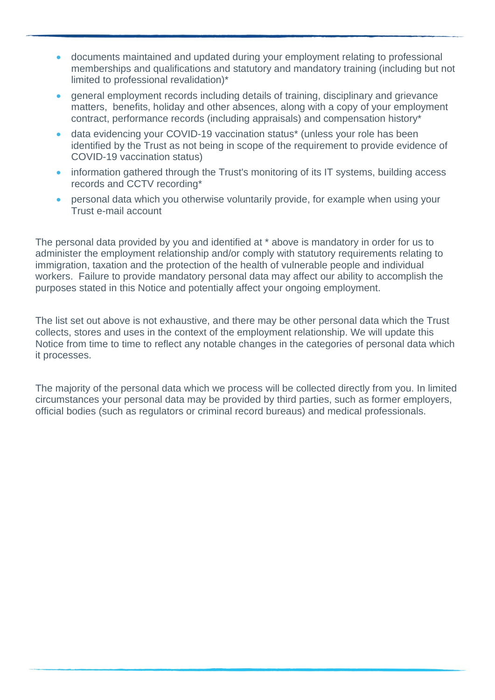- documents maintained and updated during your employment relating to professional memberships and qualifications and statutory and mandatory training (including but not limited to professional revalidation)\*
- general employment records including details of training, disciplinary and grievance matters, benefits, holiday and other absences, along with a copy of your employment contract, performance records (including appraisals) and compensation history\*
- data evidencing your COVID-19 vaccination status<sup>\*</sup> (unless your role has been identified by the Trust as not being in scope of the requirement to provide evidence of COVID-19 vaccination status)
- information gathered through the Trust's monitoring of its IT systems, building access records and CCTV recording\*
- personal data which you otherwise voluntarily provide, for example when using your Trust e-mail account

The personal data provided by you and identified at \* above is mandatory in order for us to administer the employment relationship and/or comply with statutory requirements relating to immigration, taxation and the protection of the health of vulnerable people and individual workers. Failure to provide mandatory personal data may affect our ability to accomplish the purposes stated in this Notice and potentially affect your ongoing employment.

The list set out above is not exhaustive, and there may be other personal data which the Trust collects, stores and uses in the context of the employment relationship. We will update this Notice from time to time to reflect any notable changes in the categories of personal data which it processes.

The majority of the personal data which we process will be collected directly from you. In limited circumstances your personal data may be provided by third parties, such as former employers, official bodies (such as regulators or criminal record bureaus) and medical professionals.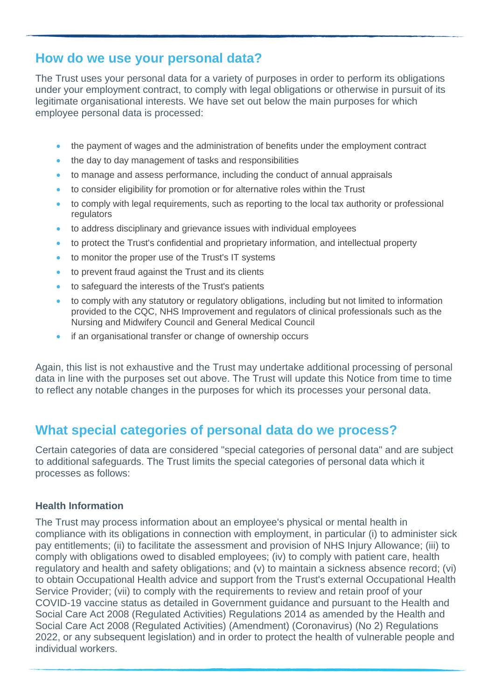### **How do we use your personal data?**

The Trust uses your personal data for a variety of purposes in order to perform its obligations under your employment contract, to comply with legal obligations or otherwise in pursuit of its legitimate organisational interests. We have set out below the main purposes for which employee personal data is processed:

- the payment of wages and the administration of benefits under the employment contract
- the day to day management of tasks and responsibilities
- to manage and assess performance, including the conduct of annual appraisals
- to consider eligibility for promotion or for alternative roles within the Trust
- to comply with legal requirements, such as reporting to the local tax authority or professional regulators
- to address disciplinary and grievance issues with individual employees
- to protect the Trust's confidential and proprietary information, and intellectual property
- to monitor the proper use of the Trust's IT systems
- to prevent fraud against the Trust and its clients
- to safeguard the interests of the Trust's patients
- to comply with any statutory or regulatory obligations, including but not limited to information provided to the CQC, NHS Improvement and regulators of clinical professionals such as the Nursing and Midwifery Council and General Medical Council
- if an organisational transfer or change of ownership occurs

Again, this list is not exhaustive and the Trust may undertake additional processing of personal data in line with the purposes set out above. The Trust will update this Notice from time to time to reflect any notable changes in the purposes for which its processes your personal data.

### **What special categories of personal data do we process?**

Certain categories of data are considered "special categories of personal data" and are subject to additional safeguards. The Trust limits the special categories of personal data which it processes as follows:

#### **Health Information**

The Trust may process information about an employee's physical or mental health in compliance with its obligations in connection with employment, in particular (i) to administer sick pay entitlements; (ii) to facilitate the assessment and provision of NHS Injury Allowance; (iii) to comply with obligations owed to disabled employees; (iv) to comply with patient care, health regulatory and health and safety obligations; and (v) to maintain a sickness absence record; (vi) to obtain Occupational Health advice and support from the Trust's external Occupational Health Service Provider; (vii) to comply with the requirements to review and retain proof of your COVID-19 vaccine status as detailed in Government guidance and pursuant to the Health and Social Care Act 2008 (Regulated Activities) Regulations 2014 as amended by the Health and Social Care Act 2008 (Regulated Activities) (Amendment) (Coronavirus) (No 2) Regulations 2022, or any subsequent legislation) and in order to protect the health of vulnerable people and individual workers.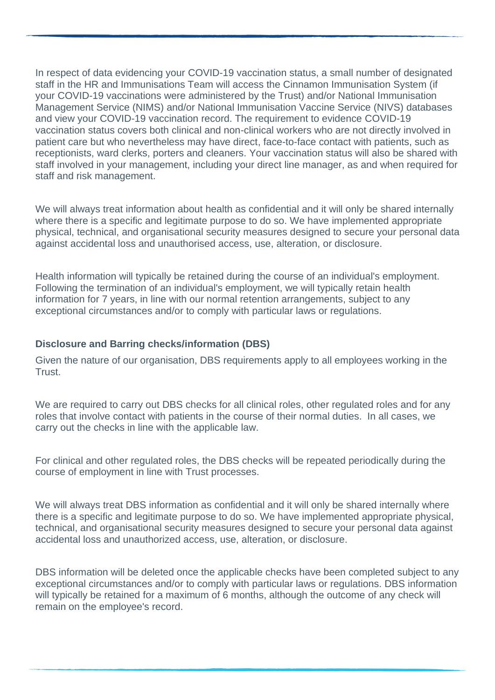In respect of data evidencing your COVID-19 vaccination status, a small number of designated staff in the HR and Immunisations Team will access the Cinnamon Immunisation System (if your COVID-19 vaccinations were administered by the Trust) and/or National Immunisation Management Service (NIMS) and/or National Immunisation Vaccine Service (NIVS) databases and view your COVID-19 vaccination record. The requirement to evidence COVID-19 vaccination status covers both clinical and non-clinical workers who are not directly involved in patient care but who nevertheless may have direct, face-to-face contact with patients, such as receptionists, ward clerks, porters and cleaners. Your vaccination status will also be shared with staff involved in your management, including your direct line manager, as and when required for staff and risk management.

We will always treat information about health as confidential and it will only be shared internally where there is a specific and legitimate purpose to do so. We have implemented appropriate physical, technical, and organisational security measures designed to secure your personal data against accidental loss and unauthorised access, use, alteration, or disclosure.

Health information will typically be retained during the course of an individual's employment. Following the termination of an individual's employment, we will typically retain health information for 7 years, in line with our normal retention arrangements, subject to any exceptional circumstances and/or to comply with particular laws or regulations.

#### **Disclosure and Barring checks/information (DBS)**

Given the nature of our organisation, DBS requirements apply to all employees working in the **Trust** 

We are required to carry out DBS checks for all clinical roles, other requlated roles and for any roles that involve contact with patients in the course of their normal duties. In all cases, we carry out the checks in line with the applicable law.

For clinical and other regulated roles, the DBS checks will be repeated periodically during the course of employment in line with Trust processes.

We will always treat DBS information as confidential and it will only be shared internally where there is a specific and legitimate purpose to do so. We have implemented appropriate physical, technical, and organisational security measures designed to secure your personal data against accidental loss and unauthorized access, use, alteration, or disclosure.

DBS information will be deleted once the applicable checks have been completed subject to any exceptional circumstances and/or to comply with particular laws or regulations. DBS information will typically be retained for a maximum of 6 months, although the outcome of any check will remain on the employee's record.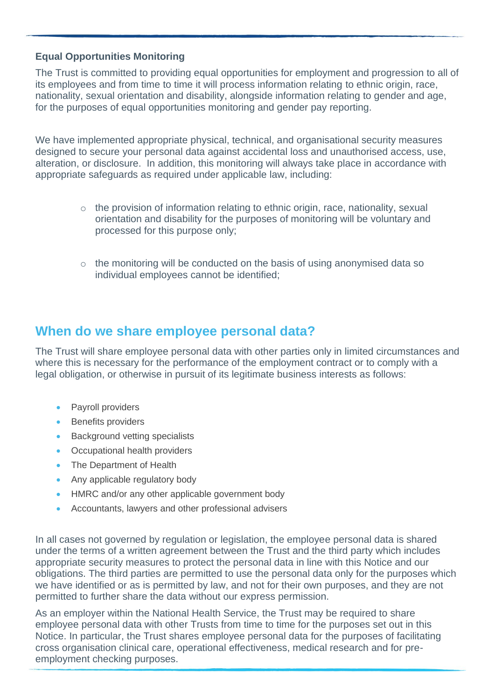#### **Equal Opportunities Monitoring**

The Trust is committed to providing equal opportunities for employment and progression to all of its employees and from time to time it will process information relating to ethnic origin, race, nationality, sexual orientation and disability, alongside information relating to gender and age, for the purposes of equal opportunities monitoring and gender pay reporting.

We have implemented appropriate physical, technical, and organisational security measures designed to secure your personal data against accidental loss and unauthorised access, use, alteration, or disclosure. In addition, this monitoring will always take place in accordance with appropriate safeguards as required under applicable law, including:

- $\circ$  the provision of information relating to ethnic origin, race, nationality, sexual orientation and disability for the purposes of monitoring will be voluntary and processed for this purpose only;
- o the monitoring will be conducted on the basis of using anonymised data so individual employees cannot be identified;

### **When do we share employee personal data?**

The Trust will share employee personal data with other parties only in limited circumstances and where this is necessary for the performance of the employment contract or to comply with a legal obligation, or otherwise in pursuit of its legitimate business interests as follows:

- Payroll providers
- **Benefits providers**
- Background vetting specialists
- Occupational health providers
- The Department of Health
- Any applicable regulatory body
- HMRC and/or any other applicable government body
- Accountants, lawyers and other professional advisers

In all cases not governed by regulation or legislation, the employee personal data is shared under the terms of a written agreement between the Trust and the third party which includes appropriate security measures to protect the personal data in line with this Notice and our obligations. The third parties are permitted to use the personal data only for the purposes which we have identified or as is permitted by law, and not for their own purposes, and they are not permitted to further share the data without our express permission.

As an employer within the National Health Service, the Trust may be required to share employee personal data with other Trusts from time to time for the purposes set out in this Notice. In particular, the Trust shares employee personal data for the purposes of facilitating cross organisation clinical care, operational effectiveness, medical research and for preemployment checking purposes.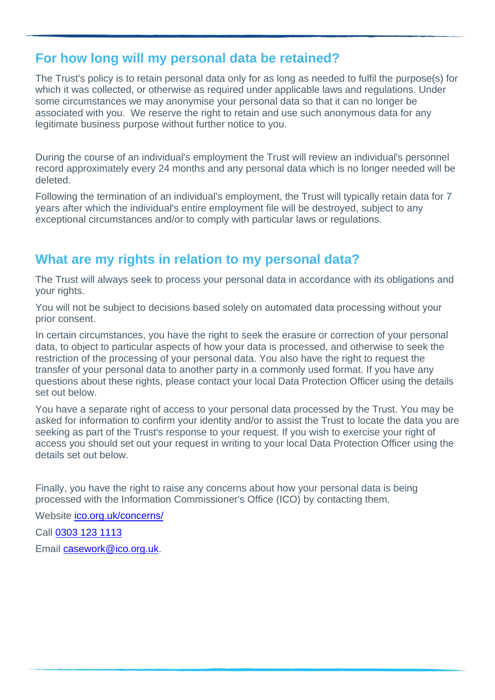### **For how long will my personal data be retained?**

The Trust's policy is to retain personal data only for as long as needed to fulfil the purpose(s) for which it was collected, or otherwise as required under applicable laws and regulations. Under some circumstances we may anonymise your personal data so that it can no longer be associated with you. We reserve the right to retain and use such anonymous data for any legitimate business purpose without further notice to you.

During the course of an individual's employment the Trust will review an individual's personnel record approximately every 24 months and any personal data which is no longer needed will be deleted.

Following the termination of an individual's employment, the Trust will typically retain data for 7 years after which the individual's entire employment file will be destroyed, subject to any exceptional circumstances and/or to comply with particular laws or regulations.

## **What are my rights in relation to my personal data?**

The Trust will always seek to process your personal data in accordance with its obligations and your rights.

You will not be subject to decisions based solely on automated data processing without your prior consent.

In certain circumstances, you have the right to seek the erasure or correction of your personal data, to object to particular aspects of how your data is processed, and otherwise to seek the restriction of the processing of your personal data. You also have the right to request the transfer of your personal data to another party in a commonly used format. If you have any questions about these rights, please contact your local Data Protection Officer using the details set out below.

You have a separate right of access to your personal data processed by the Trust. You may be asked for information to confirm your identity and/or to assist the Trust to locate the data you are seeking as part of the Trust's response to your request. If you wish to exercise your right of access you should set out your request in writing to your local Data Protection Officer using the details set out below.

Finally, you have the right to raise any concerns about how your personal data is being processed with the Information Commissioner's Office (ICO) by contacting them.

Website [ico.org.uk/concerns/](https://ico.org.uk/concerns/)

Call [0303 123 1113](tel:0303-123-1113)

Email [casework@ico.org.uk.](mailto:casework@ico.org.uk)